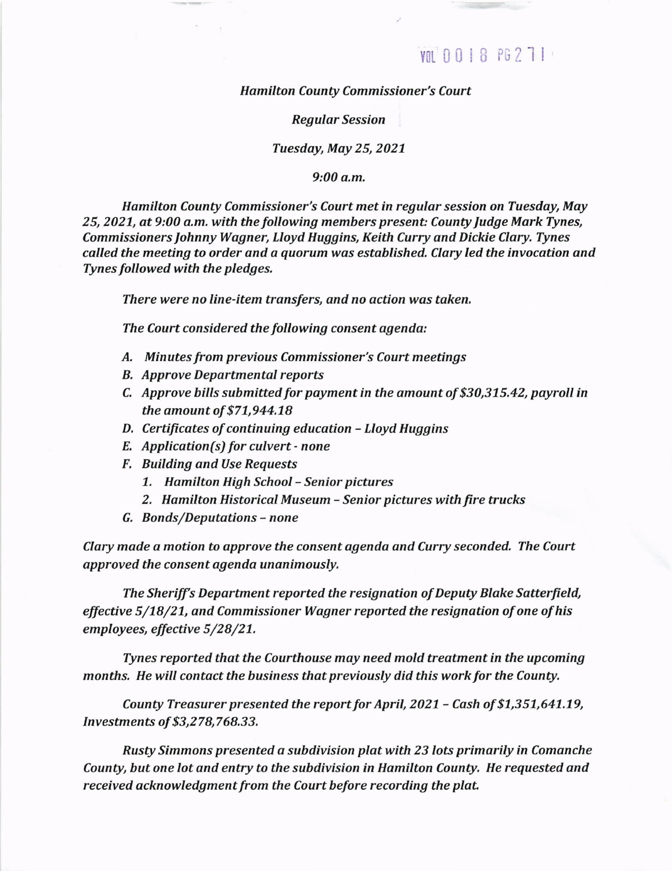## VOL 0018 PG 271

**Hamilton County Commissioner's Court** 

Regular Session

Tuesday, May 25,2021

9:00 a.m.

Hamilton County Commissioner's Court met in regular session on Tuesday, May 25, 2021, at 9:00 a.m. with the following members present: County Judge Mark Tynes, Commissioners Johnny Wagner, Lloyd Huggins, Keith Curry and Dickie Clary. Tynes called the meeting to order and a quorum was established, Clary led the invocation and Tynes followed with the pledges.

There were no line-item transfers, and no action was taken.

The Court considered the following consent agenda:

- A. Minutes from previous Commissioner's Court meetings
- B. Approve Departmental reports
- C. Approve bills submitted for payment in the amount of \$30,375.42, payroll in the amount of \$71,944.18
- D. Certificates of continuing education Lloyd Huggins
- E. Application(s) for culvert none
- F. Building and Use Requests
	- 7, Hamilton High School Senior pictures
	- 2. Hamilton Historical Museum Senior pictures with fire trucks
- G. Bonds/Deputations none

Clary made a motion to approve the consent agenda and Curry seconded. The Court approved the consent agenda unanimously.

The Sheriff's Department reported the resignation of Deputy Blake Satterfield, effective 5/78/27, and Commissioner Wagner reported the resignation of one of his employees, effective 5/28/21.

Tynes reported that the Courthouse may need mold treatment in the upcoming months. He will contact the business that previously did this work for the County.

County Treasurer presented the report for April, 2021 - Cash of \$1,351,641.19, Investments of \$3,278,768.33.

Rusty Simmons presented a subdivision plat with 23 lots primarily in Comanche County, but one lot and entry to the subdivision in Hamilton County. He requested and received acknowledgment from the Court before recording the plat.